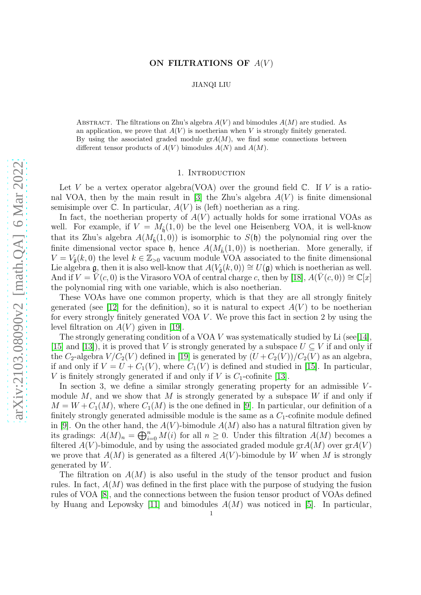# ON FILTRATIONS OF  $A(V)$

JIANQI LIU

ABSTRACT. The filtrations on Zhu's algebra  $A(V)$  and bimodules  $A(M)$  are studied. As an application, we prove that  $A(V)$  is noetherian when V is strongly finitely generated. By using the associated graded module  $\operatorname{gr}(M)$ , we find some connections between different tensor products of  $A(V)$  bimodules  $A(N)$  and  $A(M)$ .

## 1. INTRODUCTION

Let V be a vertex operator algebra (VOA) over the ground field  $\mathbb{C}$ . If V is a ratio-nal VOA, then by the main result in [\[3\]](#page-18-0) the Zhu's algebra  $A(V)$  is finite dimensional semisimple over  $\mathbb C$ . In particular,  $A(V)$  is (left) noetherian as a ring.

In fact, the noetherian property of  $A(V)$  actually holds for some irrational VOAs as well. For example, if  $V = M_{\hat{\mathfrak{h}}}(1,0)$  be the level one Heisenberg VOA, it is well-know that its Zhu's algebra  $A(M_{\hat{\mathfrak{h}}}(1,0))$  is isomorphic to  $S(\mathfrak{h})$  the polynomial ring over the finite dimensional vector space  $\mathfrak{h}$ , hence  $A(M_{\hat{h}}(1,0))$  is noetherian. More generally, if  $V = V_{\hat{\mathfrak{g}}}(k,0)$  the level  $k \in \mathbb{Z}_{>0}$  vacuum module VOA associated to the finite dimensional Lie algebra g, then it is also well-know that  $A(V_{\hat{\mathfrak{a}}}(k,0)) \cong U(\mathfrak{g})$  which is noetherian as well. And if  $V = V(c, 0)$  is the Virasoro VOA of central charge c, then by [\[18\]](#page-18-1),  $A(V(c, 0)) \cong \mathbb{C}[x]$ the polynomial ring with one variable, which is also noetherian.

These VOAs have one common property, which is that they are all strongly finitely generated (see [\[12\]](#page-18-2) for the definition), so it is natural to expect  $A(V)$  to be noetherian for every strongly finitely generated VOA  $V$ . We prove this fact in section 2 by using the level filtration on  $A(V)$  given in [\[19\]](#page-18-3).

The strongly generating condition of a VOA  $V$  was systematically studied by Li (see[\[14\]](#page-18-4), [\[15\]](#page-18-5) and [\[13\]](#page-18-6)), it is proved that V is strongly generated by a subspace  $U \subseteq V$  if and only if the C<sub>2</sub>-algebra  $V/C_2(V)$  defined in [\[19\]](#page-18-3) is generated by  $(U + C_2(V))/C_2(V)$  as an algebra, if and only if  $V = U + C_1(V)$ , where  $C_1(V)$  is defined and studied in [\[15\]](#page-18-5). In particular, V is finitely strongly generated if and only if V is  $C_1$ -cofinite [\[13\]](#page-18-6).

In section 3, we define a similar strongly generating property for an admissible  $V$ module  $M$ , and we show that  $M$  is strongly generated by a subspace  $W$  if and only if  $M = W + C_1(M)$ , where  $C_1(M)$  is the one defined in [\[9\]](#page-18-7). In particular, our definition of a finitely strongly generated admissible module is the same as a  $C_1$ -cofinite module defined in [\[9\]](#page-18-7). On the other hand, the  $A(V)$ -bimodule  $A(M)$  also has a natural filtration given by its gradings:  $A(M)_n = \bigoplus_{i=0}^n M(i)$  for all  $n \geq 0$ . Under this filtration  $A(M)$  becomes a filtered  $A(V)$ -bimodule, and by using the associated graded module gr $A(M)$  over  $grA(V)$ we prove that  $A(M)$  is generated as a filtered  $A(V)$ -bimodule by W when M is strongly generated by  $W$ .

The filtration on  $A(M)$  is also useful in the study of the tensor product and fusion rules. In fact,  $A(M)$  was defined in the first place with the purpose of studying the fusion rules of VOA [\[8\]](#page-18-8), and the connections between the fusion tensor product of VOAs defined by Huang and Lepowsky [\[11\]](#page-18-9) and bimodules  $A(M)$  was noticed in [\[5\]](#page-18-10). In particular,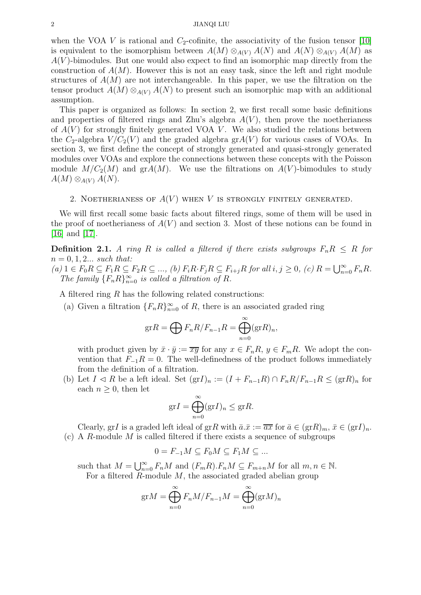when the VOA V is rational and  $C_2$ -cofinite, the associativity of the fusion tensor [\[10\]](#page-18-11) is equivalent to the isomorphism between  $A(M) \otimes_{A(V)} A(N)$  and  $A(N) \otimes_{A(V)} A(M)$  as  $A(V)$ -bimodules. But one would also expect to find an isomorphic map directly from the construction of  $A(M)$ . However this is not an easy task, since the left and right module structures of  $A(M)$  are not interchangeable. In this paper, we use the filtration on the tensor product  $A(M) \otimes_{A(V)} A(N)$  to present such an isomorphic map with an additional assumption.

This paper is organized as follows: In section 2, we first recall some basic definitions and properties of filtered rings and Zhu's algebra  $A(V)$ , then prove the noetherianess of  $A(V)$  for strongly finitely generated VOA V. We also studied the relations between the  $C_2$ -algebra  $V/C_2(V)$  and the graded algebra  $grA(V)$  for various cases of VOAs. In section 3, we first define the concept of strongly generated and quasi-strongly generated modules over VOAs and explore the connections between these concepts with the Poisson module  $M/C_2(M)$  and  $grA(M)$ . We use the filtrations on  $A(V)$ -bimodules to study  $A(M) \otimes_{A(V)} A(N)$ .

# 2. NOETHERIANESS OF  $A(V)$  when V is strongly finitely generated.

We will first recall some basic facts about filtered rings, some of them will be used in the proof of noetherianess of  $A(V)$  and section 3. Most of these notions can be found in [\[16\]](#page-18-12) and [\[17\]](#page-18-13).

<span id="page-1-0"></span>**Definition 2.1.** *A ring* R *is called a filtered if there exists subgroups*  $F_n R \leq R$  *for*  $n = 0, 1, 2...$  *such that:*  $(a)$  1  $\in$   $F_0R \subseteq F_1R \subseteq F_2R \subseteq ...$ ,  $(b)$   $F_iR \cdot F_jR \subseteq F_{i+j}R$  *for all*  $i, j \ge 0$ ,  $(c)$   $R = \bigcup_{n=0}^{\infty} F_nR$ . The family  $\{F_n R\}_{n=0}^{\infty}$  is called a filtration of R.

A filtered ring R has the following related constructions:

(a) Given a filtration  ${F_n R}_{n=0}^{\infty}$  of R, there is an associated graded ring

$$
\mathrm{gr} R = \bigoplus F_n R / F_{n-1} R = \bigoplus_{n=0}^{\infty} (\mathrm{gr} R)_n,
$$

with product given by  $\bar{x} \cdot \bar{y} := \bar{x} \bar{y}$  for any  $x \in F_n R$ ,  $y \in F_m R$ . We adopt the convention that  $F_{-1}R = 0$ . The well-definedness of the product follows immediately from the definition of a filtration.

(b) Let  $I \triangleleft R$  be a left ideal. Set  $(\text{gr} I)_n := (I + F_{n-1}R) \cap F_n R/F_{n-1} R \leq (\text{gr} R)_n$  for each  $n \geq 0$ , then let

$$
\mathrm{gr} I = \bigoplus_{n=0}^{\infty} (\mathrm{gr} I)_n \leq \mathrm{gr} R.
$$

Clearly, grI is a graded left ideal of grR with  $\bar{a}.\bar{x} := \bar{a}\bar{x}$  for  $\bar{a} \in (\text{gr}R)_m$ ,  $\bar{x} \in (\text{gr}I)_n$ . (c) A R-module M is called filtered if there exists a sequence of subgroups

$$
0 = F_{-1}M \subseteq F_0M \subseteq F_1M \subseteq \dots
$$

such that  $M = \bigcup_{n=0}^{\infty} F_n M$  and  $(F_m R) \cdot F_n M \subseteq F_{m+n} M$  for all  $m, n \in \mathbb{N}$ . For a filtered  $R$ -module  $M$ , the associated graded abelian group

$$
grM = \bigoplus_{n=0}^{\infty} F_n M / F_{n-1} M = \bigoplus_{n=0}^{\infty} (grM)_n
$$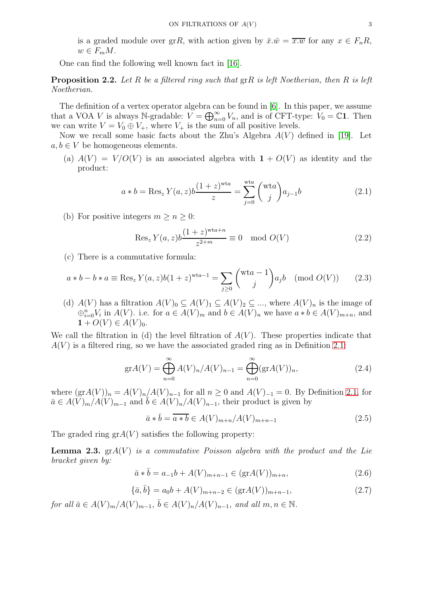is a graded module over grR, with action given by  $\bar{x}.\bar{w} = \overline{x.w}$  for any  $x \in F_nR$ ,  $w \in F_m M$ .

One can find the following well known fact in [\[16\]](#page-18-12).

<span id="page-2-5"></span>Proposition 2.2. *Let* R *be a filtered ring such that* grR *is left Noetherian, then* R *is left Noetherian.*

The definition of a vertex operator algebra can be found in [\[6\]](#page-18-14). In this paper, we assume that a VOA V is always N-gradable:  $V = \bigoplus_{n=0}^{\infty} V_n$ , and is of CFT-type:  $V_0 = \mathbb{C}1$ . Then we can write  $V = V_0 \oplus V_+$ , where  $V_+$  is the sum of all positive levels.

Now we recall some basic facts about the Zhu's Algebra  $A(V)$  defined in [\[19\]](#page-18-3). Let  $a, b \in V$  be homogeneous elements.

(a)  $A(V) = V/O(V)$  is an associated algebra with  $1 + O(V)$  as identity and the product:

<span id="page-2-0"></span>
$$
a * b = \text{Res}_{z} Y(a, z) b \frac{(1+z)^{\text{wta}}}{z} = \sum_{j=0}^{\text{wta}} {(\text{wt}a) \choose j} a_{j-1} b \tag{2.1}
$$

(b) For positive integers  $m \geq n \geq 0$ :

$$
\operatorname{Res}_{z} Y(a, z) b \frac{(1+z)^{\operatorname{wt}a+n}}{z^{2+m}} \equiv 0 \mod O(V) \tag{2.2}
$$

(c) There is a commutative formula:

<span id="page-2-2"></span>
$$
a * b - b * a \equiv \text{Res}_{z} Y(a, z)b(1 + z)^{\text{wta}-1} = \sum_{j \ge 0} \binom{\text{wt}a - 1}{j} a_j b \pmod{O(V)} \tag{2.3}
$$

(d)  $A(V)$  has a filtration  $A(V)_0 \subseteq A(V)_1 \subseteq A(V)_2 \subseteq ...$ , where  $A(V)_n$  is the image of  $\bigoplus_{i=0}^n V_i$  in  $A(V)$ . i.e. for  $a \in A(V)_m$  and  $b \in A(V)_n$  we have  $a * b \in A(V)_{m+n}$ , and  $1 + O(V) \in A(V)_0.$ 

We call the filtration in (d) the level filtration of  $A(V)$ . These properties indicate that  $A(V)$  is a filtered ring, so we have the associated graded ring as in Definition [2.1:](#page-1-0)

$$
\text{gr}A(V) = \bigoplus_{n=0}^{\infty} A(V)_n / A(V)_{n-1} = \bigoplus_{n=0}^{\infty} (\text{gr}A(V))_n,
$$
\n(2.4)

where  $(\text{gr} A(V))_n = A(V)_n / A(V)_{n-1}$  for all  $n \geq 0$  and  $A(V)_{-1} = 0$ . By Definition [2.1,](#page-1-0) for  $\bar{a} \in A(V)_m/A(V)_{m-1}$  and  $b \in A(V)_n/A(V)_{n-1}$ , their product is given by

<span id="page-2-1"></span>
$$
\bar{a} * \bar{b} = \overline{a * b} \in A(V)_{m+n}/A(V)_{m+n-1}
$$
\n(2.5)

The graded ring  $grA(V)$  satisfies the following property:

<span id="page-2-4"></span>Lemma 2.3. grA(V ) *is a commutative Poisson algebra with the product and the Lie bracket given by:*

$$
\bar{a} * \bar{b} = a_{-1}b + A(V)_{m+n-1} \in (\text{gr}A(V))_{m+n},
$$
\n(2.6)

<span id="page-2-3"></span>
$$
\{\bar{a}, \bar{b}\} = a_0 b + A(V)_{m+n-2} \in (\text{gr} A(V))_{m+n-1},
$$
\n(2.7)

*for all*  $\bar{a} \in A(V)_{m}/A(V)_{m-1}$ ,  $\bar{b} \in A(V)_{n}/A(V)_{n-1}$ , and all  $m, n \in \mathbb{N}$ .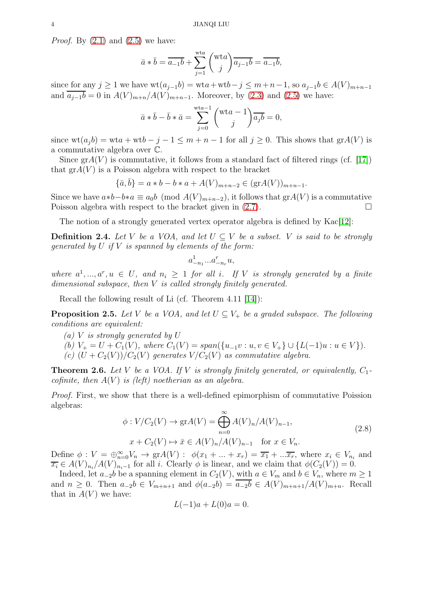*Proof.* By [\(2.1\)](#page-2-0) and [\(2.5\)](#page-2-1) we have:

$$
\bar{a} * \bar{b} = \overline{a_{-1}b} + \sum_{j=1}^{\text{wta}} {\text{wta} \choose j} \overline{a_{j-1}b} = \overline{a_{-1}b},
$$

since for any  $j \ge 1$  we have  $wt(a_{j-1}b) = wt a + wt b - j \le m+n-1$ , so  $a_{j-1}b \in A(V)_{m+n-1}$ and  $\overline{a_{j-1}b} = 0$  in  $A(V)_{m+n}/A(V)_{m+n-1}$ . Moreover, by [\(2.3\)](#page-2-2) and [\(2.5\)](#page-2-1) we have:

$$
\bar{a} * \bar{b} - \bar{b} * \bar{a} = \sum_{j=0}^{\text{wta}-1} {\text{wta} - 1 \choose j} \overline{a_j b} = 0,
$$

since  $wt(a_j b) = wt a + wt b - j - 1 \leq m + n - 1$  for all  $j \geq 0$ . This shows that  $grA(V)$  is a commutative algebra over C.

Since  $\text{gr}A(V)$  is commutative, it follows from a standard fact of filtered rings (cf. [\[17\]](#page-18-13)) that  $\text{gr}A(V)$  is a Poisson algebra with respect to the bracket

$$
\{\bar{a}, \bar{b}\} = a * b - b * a + A(V)_{m+n-2} \in (\text{gr} A(V))_{m+n-1}.
$$

Since we have  $a*b-b*a \equiv a_0b \pmod{A(V)_{m+n-2}}$ , it follows that gr $A(V)$  is a commutative Poisson algebra with respect to the bracket given in  $(2.7)$ .

The notion of a strongly generated vertex operator algebra is defined by Kac[\[12\]](#page-18-2):

**Definition 2.4.** Let V be a VOA, and let  $U \subseteq V$  be a subset. V is said to be strongly *generated by* U *if* V *is spanned by elements of the form:*

$$
a^1_{-n_1}...a^r_{-n_r}u,
$$

where  $a^1, ..., a^r, u \in U$ , and  $n_i \geq 1$  for all i. If V is strongly generated by a finite *dimensional subspace, then* V *is called strongly finitely generated.*

Recall the following result of Li (cf. Theorem 4.11 [\[14\]](#page-18-4)):

<span id="page-3-1"></span>**Proposition 2.5.** Let V be a VOA, and let  $U \subseteq V_+$  be a graded subspace. The following *conditions are equivalent:*

- *(a)* V *is strongly generated by* U
- *(b)*  $V_+ = U + C_1(V)$ *, where*  $C_1(V) = span({u_{-1}v : u, v \in V_+} \cup {L(-1)u : u \in V}).$
- *(c)*  $(U + C_2(V))/C_2(V)$  *generates*  $V/C_2(V)$  *as commutative algebra.*

<span id="page-3-2"></span>**Theorem 2.6.** Let V be a VOA. If V is strongly finitely generated, or equivalently,  $C_1$ *cofinite, then*  $A(V)$  *is (left) noetherian as an algebra.* 

*Proof.* First, we show that there is a well-defined epimorphism of commutative Poission algebras:

<span id="page-3-0"></span>
$$
\phi: V/C_2(V) \to \operatorname{gr} A(V) = \bigoplus_{n=0}^{\infty} A(V)_n / A(V)_{n-1},
$$
  
\n
$$
x + C_2(V) \mapsto \bar{x} \in A(V)_n / A(V)_{n-1} \quad \text{for } x \in V_n.
$$
\n(2.8)

Define  $\phi: V = \bigoplus_{n=0}^{\infty} V_n \to \text{gr}A(V)$ :  $\phi(x_1 + ... + x_r) = \overline{x_1} + ... \overline{x_r}$ , where  $x_i \in V_{n_i}$  and  $\overline{x_i} \in A(V)_{n_i}/A(V)_{n_i-1}$  for all i. Clearly  $\phi$  is linear, and we claim that  $\phi(C_2(V)) = 0$ .

Indeed, let  $a_{-2}b$  be a spanning element in  $C_2(V)$ , with  $a \in V_m$  and  $b \in V_n$ , where  $m \ge 1$ and  $n \geq 0$ . Then  $a_{-2}b \in V_{m+n+1}$  and  $\phi(a_{-2}b) = \overline{a_{-2}b} \in A(V)_{m+n+1}/A(V)_{m+n}$ . Recall that in  $A(V)$  we have:

$$
L(-1)a + L(0)a = 0.
$$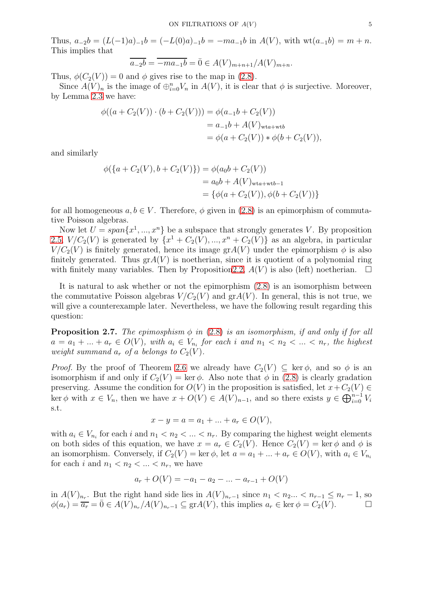Thus,  $a_{-2}b = (L(-1)a)_{-1}b = (-L(0)a)_{-1}b = -ma_{-1}b$  in  $A(V)$ , with  $wt(a_{-1}b) = m + n$ . This implies that

$$
\overline{a_{-2}b} = \overline{-ma_{-1}b} = \overline{0} \in A(V)_{m+n+1}/A(V)_{m+n}.
$$

Thus,  $\phi(C_2(V)) = 0$  and  $\phi$  gives rise to the map in [\(2.8\)](#page-3-0).

Since  $A(V)_n$  is the image of  $\bigoplus_{i=0}^n V_n$  in  $A(V)$ , it is clear that  $\phi$  is surjective. Moreover, by Lemma [2.3](#page-2-4) we have:

$$
\phi((a + C_2(V)) \cdot (b + C_2(V))) = \phi(a_{-1}b + C_2(V))
$$
  
=  $a_{-1}b + A(V)_{\text{wta+wb}}$   
=  $\phi(a + C_2(V)) * \phi(b + C_2(V)),$ 

and similarly

$$
\phi(\{a + C_2(V), b + C_2(V)\}) = \phi(a_0b + C_2(V))
$$
  
=  $a_0b + A(V)_{\text{wta+wb-1}}$   
=  $\{\phi(a + C_2(V)), \phi(b + C_2(V))\}$ 

for all homogeneous  $a, b \in V$ . Therefore,  $\phi$  given in [\(2.8\)](#page-3-0) is an epimorphism of commutative Poisson algebras.

Now let  $U = span\{x^1, ..., x^n\}$  be a subspace that strongly generates V. By proposition [2.5,](#page-3-1)  $V/C_2(V)$  is generated by  $\{x^1 + C_2(V), ..., x^n + C_2(V)\}$  as an algebra, in particular  $V/C_2(V)$  is finitely generated, hence its image gr $A(V)$  under the epimorphism  $\phi$  is also finitely generated. Thus  $\text{gr}A(V)$  is noetherian, since it is quotient of a polynomial ring with finitely many variables. Then by Proposition 2.2,  $A(V)$  is also (left) noetherian.  $\Box$ 

It is natural to ask whether or not the epimorphism [\(2.8\)](#page-3-0) is an isomorphism between the commutative Poisson algebras  $V/C_2(V)$  and  $grA(V)$ . In general, this is not true, we will give a counterexample later. Nevertheless, we have the following result regarding this question:

<span id="page-4-0"></span>**Proposition 2.7.** *The epimosphism*  $\phi$  *in* [\(2.8\)](#page-3-0) *is an isomorphism, if and only if for all*  $a = a_1 + ... + a_r \in O(V)$ , with  $a_i \in V_{n_i}$  for each i and  $n_1 < n_2 < ... < n_r$ , the highest *weight summand*  $a_r$  *of* a *belongs* to  $C_2(V)$ *.* 

*Proof.* By the proof of Theorem [2.6](#page-3-2) we already have  $C_2(V) \subseteq \text{ker } \phi$ , and so  $\phi$  is an isomorphism if and only if  $C_2(V) = \text{ker }\phi$ . Also note that  $\phi$  in [\(2.8\)](#page-3-0) is clearly gradation preserving. Assume the condition for  $O(V)$  in the proposition is satisfied, let  $x+C_2(V) \in$ ker  $\phi$  with  $x \in V_n$ , then we have  $x + O(V) \in A(V)_{n-1}$ , and so there exists  $y \in \bigoplus_{i=0}^{n-1} V_i$ s.t.

$$
x - y = a = a_1 + \dots + a_r \in O(V),
$$

with  $a_i \in V_{n_i}$  for each i and  $n_1 < n_2 < \ldots < n_r$ . By comparing the highest weight elements on both sides of this equation, we have  $x = a_r \in C_2(V)$ . Hence  $C_2(V) = \text{ker } \phi$  and  $\phi$  is an isomorphism. Conversely, if  $C_2(V) = \ker \phi$ , let  $a = a_1 + ... + a_r \in O(V)$ , with  $a_i \in V_{n_i}$ for each i and  $n_1 < n_2 < \ldots < n_r$ , we have

$$
a_r + O(V) = -a_1 - a_2 - \dots - a_{r-1} + O(V)
$$

in  $A(V)_{n_r}$ . But the right hand side lies in  $A(V)_{n_r-1}$  since  $n_1 < n_2... < n_{r-1} \le n_r-1$ , so  $\phi(a_r) = \overline{a_r} = \overline{0} \in A(V)_{n_r}/A(V)_{n_r-1} \subseteq \text{gr}A(V)$ , this implies  $a_r \in \text{ker } \phi = C_2(V)$ .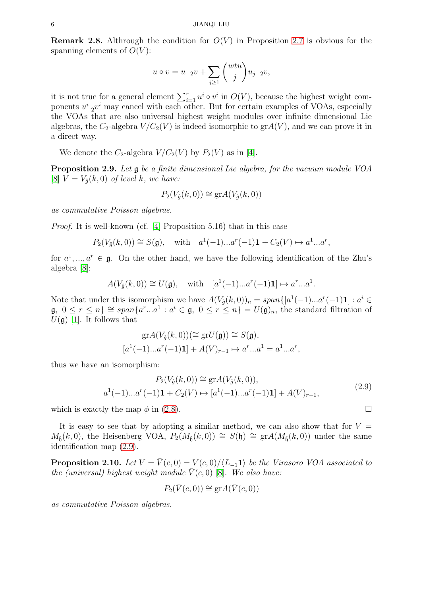**Remark 2.8.** Althrough the condition for  $O(V)$  in Proposition [2.7](#page-4-0) is obvious for the spanning elements of  $O(V)$ :

$$
u \circ v = u_{-2}v + \sum_{j \ge 1} \binom{wtu}{j} u_{j-2}v,
$$

it is not true for a general element  $\sum_{i=1}^r u^i \circ v^i$  in  $O(V)$ , because the highest weight components  $u_{-2}^i v^i$  may cancel with each other. But for certain examples of VOAs, especially the VOAs that are also universal highest weight modules over infinite dimensional Lie algebras, the  $C_2$ -algebra  $V/C_2(V)$  is indeed isomorphic to  $grA(V)$ , and we can prove it in a direct way.

We denote the  $C_2$ -algebra  $V/C_2(V)$  by  $P_2(V)$  as in [\[4\]](#page-18-15).

Proposition 2.9. *Let* g *be a finite dimensional Lie algebra, for the vacuum module VOA* [\[8\]](#page-18-8)  $V = V_{\hat{g}}(k,0)$  *of level k, we have:* 

$$
P_2(V_{\hat{g}}(k,0)) \cong \text{gr} A(V_{\hat{g}}(k,0))
$$

*as commutative Poisson algebras.*

*Proof.* It is well-known (cf. [\[4\]](#page-18-15) Proposition 5.16) that in this case

$$
P_2(V_{\hat{g}}(k,0)) \cong S(\mathfrak{g}), \text{ with } a^1(-1)...a^r(-1)\mathbf{1} + C_2(V) \mapsto a^1...a^r,
$$

for  $a^1, ..., a^r \in \mathfrak{g}$ . On the other hand, we have the following identification of the Zhu's algebra [\[8\]](#page-18-8):

$$
A(V_{\hat{g}}(k,0)) \cong U(\mathfrak{g}), \quad \text{with} \quad [a^1(-1)...a^r(-1)\mathbf{1}] \mapsto a^r...a^1.
$$

Note that under this isomorphism we have  $A(V_{\hat{g}}(k,0))_n = span\{[a^1(-1)...a^r(-1)1] : a^i \in$  $\mathfrak{g}, 0 \leq r \leq n$   $\cong span\{a^r...a^1 : a^i \in \mathfrak{g}, 0 \leq r \leq n\} = U(\mathfrak{g})_n$ , the standard filtration of  $U(\mathfrak{g})$  [\[1\]](#page-18-16). It follows that

$$
\operatorname{gr} A(V_{\hat{g}}(k,0)) \left( \cong \operatorname{gr} U(\mathfrak{g}) \right) \cong S(\mathfrak{g}),
$$
  

$$
[a^1(-1)...a^r(-1)1] + A(V)_{r-1} \mapsto a^r...a^1 = a^1...a^r,
$$

thus we have an isomorphism:

<span id="page-5-0"></span>
$$
P_2(V_{\hat{g}}(k,0)) \cong \text{gr}A(V_{\hat{g}}(k,0)),
$$
  

$$
a^1(-1)...a^r(-1)\mathbf{1} + C_2(V) \mapsto [a^1(-1)...a^r(-1)\mathbf{1}] + A(V)_{r-1},
$$
 (2.9)

which is exactly the map  $\phi$  in [\(2.8\)](#page-3-0).

It is easy to see that by adopting a similar method, we can also show that for  $V =$  $M_{\hat{\mathfrak{h}}}(k,0)$ , the Heisenberg VOA,  $P_2(M_{\hat{\mathfrak{h}}}(k,0)) \cong S(\mathfrak{h}) \cong \text{gr}A(M_{\hat{\mathfrak{h}}}(k,0))$  under the same identification map [\(2.9\)](#page-5-0).

**Proposition 2.10.** *Let*  $V = \overline{V}(c, 0) = V(c, 0)/\langle L_{-1}1 \rangle$  *be the Virasoro VOA associated to the (universal) highest weight module*  $\overline{V}(c, 0)$  [\[8\]](#page-18-8)*. We also have:* 

$$
P_2(\bar{V}(c,0)) \cong \text{gr}A(\bar{V}(c,0))
$$

*as commutative Poisson algebras.*

$$
\Box
$$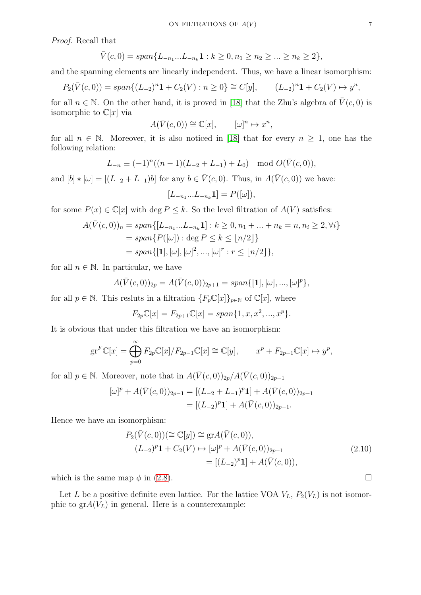*Proof.* Recall that

$$
\bar{V}(c,0) = span\{L_{-n_1}...L_{-n_k}\mathbf{1} : k \ge 0, n_1 \ge n_2 \ge ... \ge n_k \ge 2\},\
$$

and the spanning elements are linearly independent. Thus, we have a linear isomorphism:

$$
P_2(\bar{V}(c,0)) = span\{(L_{-2})^n \mathbf{1} + C_2(V) : n \ge 0\} \cong C[y], \qquad (L_{-2})^n \mathbf{1} + C_2(V) \mapsto y^n,
$$

for all  $n \in \mathbb{N}$ . On the other hand, it is proved in [\[18\]](#page-18-1) that the Zhu's algebra of  $\overline{V}(c, 0)$  is isomorphic to  $\mathbb{C}[x]$  via

$$
A(\bar{V}(c,0)) \cong \mathbb{C}[x], \qquad [\omega]^n \mapsto x^n,
$$

for all  $n \in \mathbb{N}$ . Moreover, it is also noticed in [\[18\]](#page-18-1) that for every  $n \geq 1$ , one has the following relation:

$$
L_{-n} \equiv (-1)^n((n-1)(L_{-2} + L_{-1}) + L_0) \mod O(\bar{V}(c, 0)),
$$

and  $[b] * [\omega] = [(L_{-2} + L_{-1})b]$  for any  $b \in \bar{V}(c, 0)$ . Thus, in  $A(\bar{V}(c, 0))$  we have:

$$
[L_{-n_1}...L_{-n_k}\mathbf{1}] = P([\omega]),
$$

for some  $P(x) \in \mathbb{C}[x]$  with  $\deg P \leq k$ . So the level filtration of  $A(V)$  satisfies:

$$
A(\bar{V}(c,0))_n = span\{ [L_{-n_1}...L_{-n_k} \mathbf{1}] : k \ge 0, n_1 + ... + n_k = n, n_i \ge 2, \forall i \}
$$
  
= span{ $P([\omega]) : \text{deg } P \le k \le \lfloor n/2 \rfloor$ }  
= span{[1], [\omega], [\omega]^2, ..., [\omega]^r : r \le \lfloor n/2 \rfloor},

for all  $n \in \mathbb{N}$ . In particular, we have

$$
A(\bar{V}(c,0))_{2p} = A(\bar{V}(c,0))_{2p+1} = span\{[\mathbf{1}], [\omega], ..., [\omega]^p\},\
$$

for all  $p \in \mathbb{N}$ . This resluts in a filtration  $\{F_p \mathbb{C}[x]\}_{p \in \mathbb{N}}$  of  $\mathbb{C}[x]$ , where

$$
F_{2p}\mathbb{C}[x] = F_{2p+1}\mathbb{C}[x] = span{1, x, x^2, ..., x^p}.
$$

It is obvious that under this filtration we have an isomorphism:

$$
\mathrm{gr}^F \mathbb{C}[x] = \bigoplus_{p=0}^{\infty} F_{2p} \mathbb{C}[x]/F_{2p-1} \mathbb{C}[x] \cong \mathbb{C}[y], \qquad x^p + F_{2p-1} \mathbb{C}[x] \mapsto y^p,
$$

for all  $p \in \mathbb{N}$ . Moreover, note that in  $A(\bar{V}(c, 0))_{2p}/A(\bar{V}(c, 0))_{2p-1}$ 

$$
[\omega]^p + A(\bar{V}(c,0))_{2p-1} = [(L_{-2} + L_{-1})^p \mathbf{1}] + A(\bar{V}(c,0))_{2p-1}
$$
  
= [(L\_{-2})^p \mathbf{1}] + A(\bar{V}(c,0))\_{2p-1}.

Hence we have an isomorphism:

$$
P_2(\bar{V}(c,0)) \cong \mathbb{C}[y]) \cong \text{gr}A(\bar{V}(c,0)),
$$
  
\n
$$
(L_{-2})^p \mathbf{1} + C_2(V) \mapsto [\omega]^p + A(\bar{V}(c,0))_{2p-1}
$$
  
\n
$$
= [(L_{-2})^p \mathbf{1}] + A(\bar{V}(c,0)),
$$
\n(2.10)

which is the same map  $\phi$  in [\(2.8\)](#page-3-0).

Let L be a positive definite even lattice. For the lattice VOA  $V_L$ ,  $P_2(V_L)$  is not isomorphic to  $grA(V_L)$  in general. Here is a counterexample: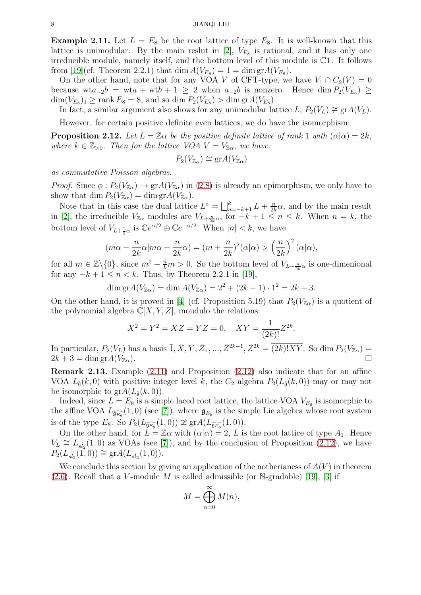<span id="page-7-0"></span>**Example 2.11.** Let  $L = E_8$  be the root lattice of type  $E_8$ . It is well-known that this lattice is unimodular. By the main reslut in [\[2\]](#page-18-17),  $V_{E_8}$  is rational, and it has only one irreducible module, namely itself, and the bottom level of this module is C1. It follows from [\[19\]](#page-18-3)(cf. Theorem 2.2.1) that  $\dim A(V_{E_8}) = 1 = \dim \text{gr} A(V_{E_8})$ .

On the other hand, note that for any VOA V of CFT-type, we have  $V_1 \cap C_2(V) = 0$ because wta<sub>-2</sub>b = wta + wtb + 1 ≥ 2 when  $a_{-2}b$  is nonzero. Hence dim  $P_2(V_{E_8})$  ≥  $\dim(V_{E_8})_1 \ge \text{rank } E_8 = 8$ , and so  $\dim P_2(V_{E_8}) > \dim \text{gr} A(V_{E_8})$ .

In fact, a similar argument also shows for any unimodular lattice L,  $P_2(V_L) \ncong \text{gr} A(V_L)$ .

However, for certain positive definite even lattices, we do have the isomorphism:

<span id="page-7-1"></span>**Proposition 2.12.** Let  $L = \mathbb{Z}\alpha$  be the positive definite lattice of rank 1 with  $(\alpha|\alpha) = 2k$ , *where*  $k \in \mathbb{Z}_{>0}$ *. Then for the lattice VOA*  $V = V_{\mathbb{Z}\alpha}$ *, we have:* 

$$
P_2(V_{\mathbb{Z}_{\alpha}}) \cong \mathrm{gr} A(V_{\mathbb{Z}_{\alpha}})
$$

*as commutative Poisson algebras.*

*Proof.* Since  $\phi: P_2(V_{\mathbb{Z}}) \to \text{gr}A(V_{\mathbb{Z}})$  in [\(2.8\)](#page-3-0) is already an epimorphism, we only have to show that dim  $P_2(V_{\mathbb{Z}}) = \dim \mathrm{gr} A(V_{\mathbb{Z}})$ .

Note that in this case the dual lattice  $L^{\circ} = \bigsqcup_{n=-k+1}^{k} L + \frac{n}{2k}$  $\frac{n}{2k}\alpha$ , and by the main result in [\[2\]](#page-18-17), the irreducible  $V_{\mathbb{Z}_{\alpha}}$  modules are  $V_{L+\frac{n}{2k}\alpha}$ , for  $-k+1 \leq n \leq k$ . When  $n = k$ , the bottom level of  $V_{L+\frac{1}{2}\alpha}$  is  $\mathbb{C}e^{\alpha/2} \oplus \mathbb{C}e^{-\alpha/2}$ . When  $|n| < k$ , we have

$$
(m\alpha + \frac{n}{2k}\alpha|m\alpha + \frac{n}{2k}\alpha) = (m + \frac{n}{2k})^2(\alpha|\alpha) > \left(\frac{n}{2k}\right)^2(\alpha|\alpha),
$$

for all  $m \in \mathbb{Z}\setminus\{0\}$ , since  $m^2 + \frac{n}{k}m > 0$ . So the bottom level of  $V_{L+\frac{n}{2k}\alpha}$  is one-dimenional for any  $-k+1 \leq n \leq k$ . Thus, by Theorem 2.2.1 in [\[19\]](#page-18-3),

$$
\dim \text{gr} A(V_{\mathbb{Z}\alpha}) = \dim A(V_{\mathbb{Z}\alpha}) = 2^2 + (2k - 1) \cdot 1^2 = 2k + 3.
$$

On the other hand, it is proved in [\[4\]](#page-18-15) (cf. Proposition 5.19) that  $P_2(V_{\mathbb{Z}})$  is a quotient of the polynomial algebra  $\mathbb{C}[X, Y, Z]$ , moudulo the relations:

$$
X^2 = Y^2 = XZ = YZ = 0, \quad XY = \frac{1}{(2k)!}Z^{2k}.
$$

In particular,  $P_2(V_L)$  has a basis  $\overline{1}, \overline{X}, \overline{Y}, \overline{Z},, ..., \overline{Z}^{2k-1}, \overline{Z}^{2k} = \overline{(2k)!XY}$ . So dim  $P_2(V_{\mathbb{Z}})$  =  $2k + 3 = \dim \text{gr} A(V_{\mathbb{Z}\alpha}).$ 

Remark 2.13. Example [\(2.11\)](#page-7-0) and Proposition [\(2.12\)](#page-7-1) also indicate that for an affine VOA  $L_{\hat{\mathfrak{g}}}(k,0)$  with positive integer level k, the  $C_2$  algebra  $P_2(L_{\hat{\mathfrak{g}}}(k,0))$  may or may not be isomorphic to  $\text{gr}A(L_{\hat{\mathfrak{g}}}(k,0)).$ 

Indeed, since  $L = E_8$  is a simple laced root lattice, the lattice VOA  $V_{E_8}$  is isomorphic to the affine VOA  $L_{\widehat{\mathfrak{g}_{E_8}}}(1,0)$  (see [\[7\]](#page-18-18)), where  $\mathfrak{g}_{E_8}$  is the simple Lie algebra whose root system is of the type  $E_8$ . So  $P_2(L_{\widehat{\mathfrak{g}_{E_8}}}(1,0)) \ncong \text{gr}A(L_{\widehat{\mathfrak{g}_{E_8}}}(1,0)).$ 

On the other hand, for  $L = \mathbb{Z}\alpha$  with  $(\alpha|\alpha) = 2$ , L is the root lattice of type  $A_1$ . Hence  $V_L \cong L_{s_2^2}(1,0)$  as VOAs (see [\[7\]](#page-18-18)), and by the conclusion of Proposition [\(2.12\)](#page-7-1), we have  $P_2(L_{s\hat{i}_2}(1,0)) \cong \text{gr}A(L_{s\hat{i}_2}(1,0)).$ 

We conclude this section by giving an application of the notherianess of  $A(V)$  in theorem  $(2.6)$ . Recall that a V-module M is called admissible (or N-gradable) [\[19\]](#page-18-3), [\[3\]](#page-18-0) if

$$
M = \bigoplus_{n=0}^{\infty} M(n),
$$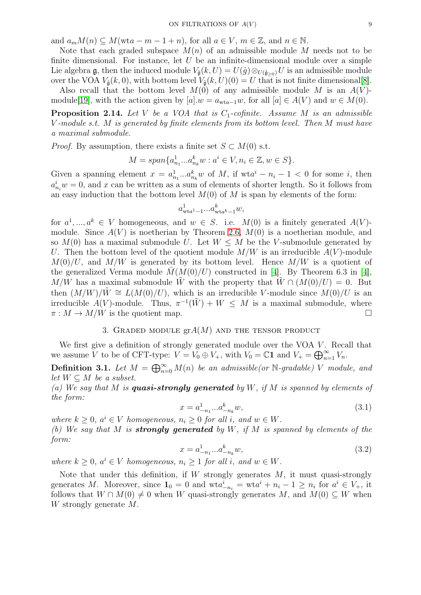and  $a_m M(n) \subseteq M(\text{wta} - m - 1 + n)$ , for all  $a \in V$ ,  $m \in \mathbb{Z}$ , and  $n \in \mathbb{N}$ .

Note that each graded subspace  $M(n)$  of an admissible module M needs not to be finite dimensional. For instance, let  $U$  be an infinite-dimensional module over a simple Lie algebra g, then the induced module  $V_{\hat{\mathfrak{g}}}(k, U) = U(\hat{g}) \otimes_{U(\hat{\mathfrak{g}})g} U$  is an admissible module over the VOA  $V_{\hat{\mathfrak{g}}}(k,0)$ , with bottom level  $V_{\hat{\mathfrak{g}}}(k,U)(0)=U$  that is not finite dimensional[\[8\]](#page-18-8).

Also recall that the bottom level  $M(0)$  of any admissible module M is an  $A(V)$ -module[\[19\]](#page-18-3), with the action given by  $[a] \cdot w = a_{wta-1}w$ , for all  $[a] \in A(V)$  and  $w \in M(0)$ .

**Proposition 2.14.** Let V be a VOA that is  $C_1$ -cofinite. Assume M is an admissible V *-module s.t.* M *is generated by finite elements from its bottom level. Then* M *must have a maximal submodule.*

*Proof.* By assumption, there exists a finite set  $S \subset M(0)$  s.t.

$$
M = span{a_{n_1}^1...a_{n_k}^k w : a^i \in V, n_i \in \mathbb{Z}, w \in S}.
$$

Given a spanning element  $x = a_{n_1}^1...a_{n_k}^k w$  of M, if  $wta^i - n_i - 1 < 0$  for some i, then  $a_{n_i}^i w = 0$ , and x can be written as a sum of elements of shorter length. So it follows from an easy induction that the bottom level  $M(0)$  of M is span by elements of the form:

$$
a^1_{\mathrm{wta}^1-1}...a^k_{\mathrm{wta}^k-1}w,
$$

for  $a^1, ..., a^k \in V$  homogeneous, and  $w \in S$ . i.e.  $M(0)$  is a finitely generated  $A(V)$ module. Since  $A(V)$  is noetherian by Theorem [2.6,](#page-3-2)  $M(0)$  is a noetherian module, and so  $M(0)$  has a maximal submodule U. Let  $W \leq M$  be the V-submodule generated by U. Then the bottom level of the quotient module  $M/W$  is an irreducible  $A(V)$ -module  $M(0)/U$ , and  $M/W$  is generated by its bottom level. Hence  $M/W$  is a quotient of the generalized Verma module  $M(M(0)/U)$  constructed in [\[4\]](#page-18-15). By Theorem 6.3 in [4], M/W has a maximal submodule W with the property that  $\hat{W} \cap (M(0)/U) = 0$ . But then  $(M/W)/\tilde{W} \cong L(M(0)/U)$ , which is an irreducible V-module since  $M(0)/U$  is an irreducible  $A(V)$ -module. Thus,  $\pi^{-1}(\tilde{W}) + W \leq M$  is a maximal submodule, where  $\pi : M \to M/W$  is the quotient map.

# 3. GRADED MODULE  $\operatorname{gr} A(M)$  and the tensor product

We first give a definition of strongly generated module over the VOA  $V$ . Recall that we assume V to be of CFT-type:  $V = V_0 \oplus V_+$ , with  $V_0 = \mathbb{C}1$  and  $V_+ = \bigoplus_{n=1}^{\infty} V_n$ .

**Definition 3.1.** Let  $M = \bigoplus_{n=0}^{\infty} M(n)$  be an admissible(or  $\mathbb{N}$ -gradable) V module, and *let*  $W \subseteq M$  *be a subset.* 

*(a) We say that* M *is* quasi-strongly generated *by* W*, if* M *is spanned by elements of the form:*

<span id="page-8-1"></span>
$$
x = a_{-n_1}^1...a_{-n_k}^k w,
$$
\n(3.1)

 $where \ k \geq 0, \ a^i \in V \ homogeneous, \ n_i \geq 0 \ for \ all \ i, \ and \ w \in W.$ *(b) We say that* M *is* strongly generated *by* W*, if* M *is spanned by elements of the form:*

<span id="page-8-0"></span>
$$
x = a_{-n_1}^1...a_{-n_k}^k w,
$$
\n(3.2)

 $where \ k \geq 0, \ a^i \in V \ homogeneous, \ n_i \geq 1 \ for \ all \ i, \ and \ w \in W.$ 

Note that under this definition, if  $W$  strongly generates  $M$ , it must quasi-strongly generates M. Moreover, since  $\mathbf{1}_0 = 0$  and  $\text{wt}a_{-n_i}^i = \text{wt}a^i + n_i - 1 \geq n_i$  for  $a^i \in V_+$ , it follows that  $W \cap M(0) \neq 0$  when W quasi-strongly generates M, and  $M(0) \subseteq W$  when W strongly generate M.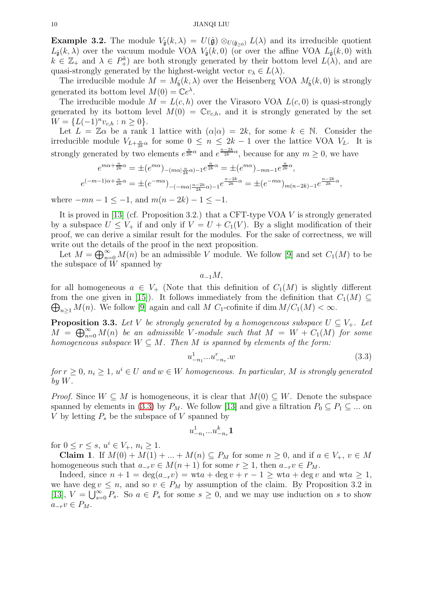<span id="page-9-2"></span>**Example 3.2.** The module  $V_{\hat{\mathfrak{g}}}(k,\lambda) = U(\hat{\mathfrak{g}}) \otimes_{U(\hat{\mathfrak{g}}_{>0})} L(\lambda)$  and its irreducible quotient  $L_{\hat{\mathfrak{g}}}(k,\lambda)$  over the vacuum module VOA  $V_{\hat{\mathfrak{g}}}(k,0)$  (or over the affine VOA  $L_{\hat{\mathfrak{g}}}(k,0)$  with  $k \in \mathbb{Z}_+$  and  $\lambda \in P^k_+$  are both strongly generated by their bottom level  $L(\lambda)$ , and are quasi-strongly generated by the highest-weight vector  $v_{\lambda} \in L(\lambda)$ .

The irreducible module  $M = M_{\hat{\mathfrak{h}}}(k, \lambda)$  over the Heisenberg VOA  $M_{\hat{\mathfrak{h}}}(k, 0)$  is strongly generated its bottom level  $M(0) = \mathbb{C}e^{\lambda}$ .

The irreducible module  $M = L(c, h)$  over the Virasoro VOA  $L(c, 0)$  is quasi-strongly generated by its bottom level  $M(0) = \mathbb{C}v_{c,h}$ , and it is strongly generated by the set  $W = \{L(-1)^n v_{c,h} : n \geq 0\}.$ 

Let  $L = \mathbb{Z}\alpha$  be a rank 1 lattice with  $(\alpha|\alpha) = 2k$ , for some  $k \in \mathbb{N}$ . Consider the irreducible module  $V_{L+\frac{n}{2k}\alpha}$  for some  $0 \leq n \leq 2k-1$  over the lattice VOA  $V_L$ . It is strongly generated by two elements  $e^{\frac{n}{2k}\alpha}$  and  $e^{\frac{n-2k}{2k}\alpha}$ , because for any  $m \geq 0$ , we have

$$
e^{m\alpha + \frac{n}{2k}\alpha} = \pm (e^{m\alpha})_{-(m\alpha + \frac{n}{2k}\alpha) - 1}e^{\frac{n}{2k}\alpha} = \pm (e^{m\alpha})_{-mn - 1}e^{\frac{n}{2k}\alpha},
$$
  

$$
e^{(-m-1)\alpha + \frac{n}{2k}\alpha} = \pm (e^{-m\alpha})_{-(-m\alpha + \frac{n-2k}{2k}\alpha) - 1}e^{\frac{n-2k}{2k}\alpha} = \pm (e^{-m\alpha})_{m(n-2k) - 1}e^{\frac{n-2k}{2k}\alpha},
$$

where  $-mn-1 \leq -1$ , and  $m(n-2k)-1 \leq -1$ .

It is proved in [\[13\]](#page-18-6) (cf. Proposition 3.2.) that a CFT-type VOA  $V$  is strongly generated by a subspace  $U \leq V_+$  if and only if  $V = U + C_1(V)$ . By a slight modification of their proof, we can derive a similar result for the modules. For the sake of correctness, we will write out the details of the proof in the next proposition.

Let  $M = \bigoplus_{n=0}^{\infty} M(n)$  be an admissible V module. We follow [\[9\]](#page-18-7) and set  $C_1(M)$  to be the subspace of  $W$  spanned by

 $a_{-1}M$ ,

for all homogeneous  $a \in V_+$  (Note that this definition of  $C_1(M)$  is slightly different from the one given in [\[15\]](#page-18-5)). It follows immediately from the definition that  $C_1(M) \subseteq$  $\bigoplus_{n\geq 1} M(n)$ . We follow [\[9\]](#page-18-7) again and call M  $C_1$ -cofinite if dim  $M/C_1(M) < \infty$ .

<span id="page-9-1"></span>**Proposition 3.3.** Let V be strongly generated by a homogeneous subspace  $U \subseteq V_+$ . Let  $M = \bigoplus_{n=0}^{\infty} M(n)$  *be an admissible* V-module such that  $M = W + C_1(M)$  for some *homogeneous subspace*  $W \subseteq M$ *. Then*  $M$  *is spanned by elements of the form:* 

<span id="page-9-0"></span>
$$
u^1_{-n_1}...u^n_{-n_r}.w\tag{3.3}
$$

 $for r \geq 0, n_i \geq 1, u^i \in U$  and  $w \in W$  homogeneous. In particular, M is strongly generated *by* W*.*

*Proof.* Since  $W \subseteq M$  is homogeneous, it is clear that  $M(0) \subseteq W$ . Denote the subspace spanned by elements in [\(3.3\)](#page-9-0) by  $P_M$ . We follow [\[13\]](#page-18-6) and give a filtration  $P_0 \subseteq P_1 \subseteq ...$  on V by letting  $P_s$  be the subspace of V spanned by

$$
u^1_{-n_1}...u^k_{-n_r}\mathbf{1}
$$

for  $0 \le r \le s$ ,  $u^i \in V_+$ ,  $n_i \ge 1$ .

**Claim 1.** If  $M(0) + M(1) + \ldots + M(n) \subseteq P_M$  for some  $n \geq 0$ , and if  $a \in V_+, v \in M$ homogeneous such that  $a_{-r}v \in M(n+1)$  for some  $r \geq 1$ , then  $a_{-r}v \in P_M$ .

Indeed, since  $n + 1 = \deg(a_{-r}v) = wta + \deg v + r - 1 \ge wta + \deg v$  and  $wta \ge 1$ , we have deg  $v \leq n$ , and so  $v \in P_M$  by assumption of the claim. By Proposition 3.2 in [\[13\]](#page-18-6),  $V = \bigcup_{s=0}^{\infty} P_s$ . So  $a \in P_s$  for some  $s \geq 0$ , and we may use induction on s to show  $a_{-r}v \in P_M$ .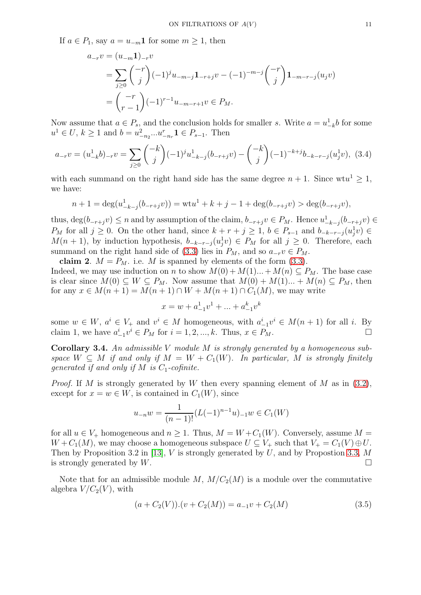If  $a \in P_1$ , say  $a = u_{-m}1$  for some  $m \geq 1$ , then

$$
a_{-r}v = (u_{-m}1)_{-r}v
$$
  
=  $\sum_{j\geq 0} {\binom{-r}{j}} (-1)^j u_{-m-j} 1_{-r+j} v - (-1)^{-m-j} {\binom{-r}{j}} 1_{-m-r-j} (u_j v)$   
=  ${\binom{-r}{r-1}} (-1)^{r-1} u_{-m-r+1} v \in P_M.$ 

Now assume that  $a \in P_s$ , and the conclusion holds for smaller s. Write  $a = u_{-k}^1 b$  for some  $u^1 \in U$ ,  $k \ge 1$  and  $b = u_{-n_2}^2...u_{-n_r}^r \mathbf{1} \in P_{s-1}$ . Then

$$
a_{-r}v = (u_{-k}^1b)_{-r}v = \sum_{j\geq 0} \binom{-k}{j} (-1)^j u_{-k-j}^1(b_{-r+j}v) - \binom{-k}{j} (-1)^{-k+j} b_{-k-r-j} (u_j^1v), \tag{3.4}
$$

with each summand on the right hand side has the same degree  $n + 1$ . Since wtu<sup>1</sup>  $\geq 1$ , we have:

$$
n+1 = \deg(u_{-k-j}^1(b_{-r+j}v)) = \operatorname{wt} u^1 + k + j - 1 + \deg(b_{-r+j}v) > \deg(b_{-r+j}v),
$$

thus,  $\deg(b_{-r+j}v) \leq n$  and by assumption of the claim,  $b_{-r+j}v \in P_M$ . Hence  $u_{-k-j}^1(b_{-r+j}v) \in$ P<sub>M</sub> for all  $j \geq 0$ . On the other hand, since  $k + r + j \geq 1$ ,  $b \in P_{s-1}$  and  $b_{-k-r-j}(u_j^1 v) \in$  $M(n + 1)$ , by induction hypothesis,  $b_{-k-r-j}(u_j^1 v) \in P_M$  for all  $j \geq 0$ . Therefore, each summand on the right hand side of [\(3.3\)](#page-9-0) lies in  $P_M$ , and so  $a_{-r}v \in P_M$ .

claim 2.  $M = P_M$ . i.e. M is spanned by elements of the form [\(3.3\)](#page-9-0). Indeed, we may use induction on n to show  $M(0) + M(1)...+M(n) \subseteq P_M$ . The base case is clear since  $M(0) \subseteq W \subseteq P_M$ . Now assume that  $M(0) + M(1) \dots + M(n) \subseteq P_M$ , then for any  $x \in M(n + 1) = M(n + 1) \cap W + M(n + 1) \cap C_1(M)$ , we may write

$$
x = w + a_{-1}^{1}v^{1} + \dots + a_{-1}^{k}v^{k}
$$

some  $w \in W$ ,  $a^i \in V_+$  and  $v^i \in M$  homogeneous, with  $a_{-1}^i v^i \in M(n+1)$  for all i. By claim 1, we have  $a_{-1}^i v^i \in P_M$  for  $i = 1, 2, ..., k$ . Thus,  $x \in P_M$ .

Corollary 3.4. *An admissible* V *module* M *is strongly generated by a homogeneous subspace*  $W \subseteq M$  *if and only if*  $M = W + C_1(W)$ *. In particular,* M *is strongly finitely generated if and only if*  $M$  *is*  $C_1$ -cofinite.

*Proof.* If M is strongly generated by W then every spanning element of M as in  $(3.2)$ , except for  $x = w \in W$ , is contained in  $C_1(W)$ , since

$$
u_{-n}w = \frac{1}{(n-1)!} (L(-1)^{n-1}u)_{-1}w \in C_1(W)
$$

for all  $u \in V_+$  homogeneous and  $n \geq 1$ . Thus,  $M = W + C_1(W)$ . Conversely, assume  $M =$  $W + C_1(M)$ , we may choose a homogeneous subspace  $U \subseteq V_+$  such that  $V_+ = C_1(V) \oplus U$ . Then by Proposition 3.2 in [\[13\]](#page-18-6),  $V$  is strongly generated by  $U$ , and by Propostion [3.3,](#page-9-1)  $M$ is strongly generated by W.

Note that for an admissible module M,  $M/C_2(M)$  is a module over the commutative algebra  $V/C_2(V)$ , with

<span id="page-10-0"></span>
$$
(a + C_2(V)) \cdot (v + C_2(M)) = a_{-1}v + C_2(M)
$$
\n(3.5)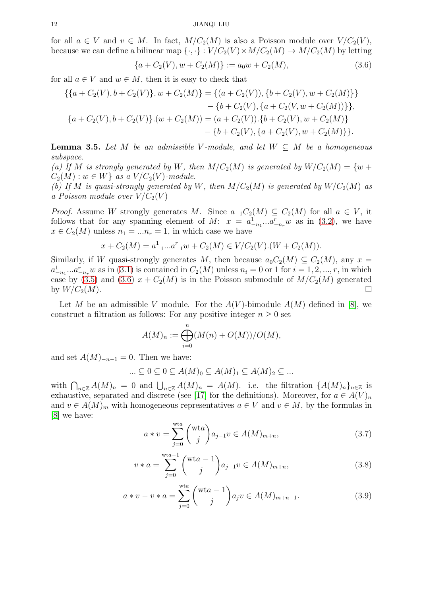for all  $a \in V$  and  $v \in M$ . In fact,  $M/C_2(M)$  is also a Poisson module over  $V/C_2(V)$ , because we can define a bilinear map  $\{\cdot,\cdot\}: V/C_2(V)\times M/C_2(M)\to M/C_2(M)$  by letting

<span id="page-11-0"></span>
$$
\{a + C_2(V), w + C_2(M)\} := a_0 w + C_2(M),\tag{3.6}
$$

for all  $a \in V$  and  $w \in M$ , then it is easy to check that

$$
\{\{a+C_2(V), b+C_2(V)\}, w+C_2(M)\} = \{(a+C_2(V)), \{b+C_2(V), w+C_2(M)\}\}\
$$

$$
-\{b+C_2(V), \{a+C_2(V), w+C_2(M)\}\},
$$

$$
\{a+C_2(V), b+C_2(V)\}.(w+C_2(M)) = (a+C_2(V)).\{b+C_2(V), w+C_2(M)\}\
$$

$$
-\{b+C_2(V), \{a+C_2(V), w+C_2(M)\}\}.
$$

<span id="page-11-3"></span>**Lemma 3.5.** Let M be an admissible V-module, and let  $W \subseteq M$  be a homogeneous *subspace.*

(a) If M is strongly generated by W, then  $M/C_2(M)$  is generated by  $W/C_2(M) = \{w +$  $C_2(M)$ :  $w \in W$  *as a*  $V/C_2(V)$ *-module.* 

*(b)* If M is quasi-strongly generated by W, then  $M/C_2(M)$  is generated by  $W/C_2(M)$  as *a Poisson module over*  $V/C_2(V)$ 

*Proof.* Assume W strongly generates M. Since  $a_{-1}C_2(M) \subseteq C_2(M)$  for all  $a \in V$ , it follows that for any spanning element of M:  $x = a_{-n_1}^1...a_{-n_r}^r w$  as in [\(3.2\)](#page-8-0), we have  $x \in C_2(M)$  unless  $n_1 = ... n_r = 1$ , in which case we have

$$
x + C_2(M) = a_{-1}^1...a_{-1}^r w + C_2(M) \in V/C_2(V) \cdot (W + C_2(M)).
$$

Similarly, if W quasi-strongly generates M, then because  $a_0C_2(M) \subseteq C_2(M)$ , any  $x =$  $a_{-n_1}^1...a_{-n_r}^r w$  as in [\(3.1\)](#page-8-1) is contained in  $C_2(M)$  unless  $n_i = 0$  or 1 for  $i = 1, 2, ..., r$ , in which case by [\(3.5\)](#page-10-0) and [\(3.6\)](#page-11-0)  $x + C_2(M)$  is in the Poisson submodule of  $M/C_2(M)$  generated by  $W/C_2(M)$ .

Let M be an admissible V module. For the  $A(V)$ -bimodule  $A(M)$  defined in [\[8\]](#page-18-8), we construct a filtration as follows: For any positive integer  $n \geq 0$  set

$$
A(M)_n := \bigoplus_{i=0}^n (M(n) + O(M))/O(M),
$$

and set  $A(M)_{-n-1} = 0$ . Then we have:

$$
\dots \subseteq 0 \subseteq 0 \subseteq A(M)_0 \subseteq A(M)_1 \subseteq A(M)_2 \subseteq \dots
$$

with  $\bigcap_{n\in\mathbb{Z}}A(M)_n=0$  and  $\bigcup_{n\in\mathbb{Z}}A(M)_n=A(M)$ . i.e. the filtration  $\{A(M)_n\}_{n\in\mathbb{Z}}$  is exhaustive, separated and discrete (see [\[17\]](#page-18-13) for the definitions). Moreover, for  $a \in A(V)_n$ and  $v \in A(M)_m$  with homogeneous representatives  $a \in V$  and  $v \in M$ , by the formulas in [\[8\]](#page-18-8) we have:

<span id="page-11-1"></span>
$$
a * v = \sum_{j=0}^{\text{wta}} \binom{\text{wta}}{j} a_{j-1} v \in A(M)_{m+n},\tag{3.7}
$$

$$
v * a = \sum_{j=0}^{\text{wta}-1} {(\text{wt}a-1) \choose j} a_{j-1} v \in A(M)_{m+n},
$$
\n(3.8)

<span id="page-11-2"></span>
$$
a * v - v * a = \sum_{j=0}^{\text{wta}} \binom{\text{wta} - 1}{j} a_j v \in A(M)_{m+n-1}.
$$
 (3.9)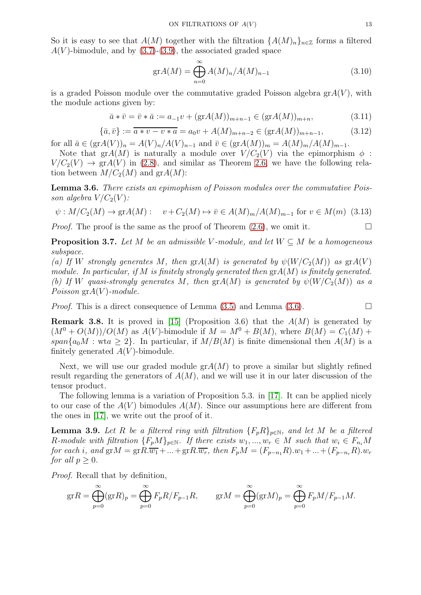So it is easy to see that  $A(M)$  together with the filtration  ${A(M)_n}_{n \in \mathbb{Z}}$  forms a filtered  $A(V)$ -bimodule, and by [\(3.7\)](#page-11-1)-[\(3.9\)](#page-11-2), the associated graded space

$$
grA(M) = \bigoplus_{n=0}^{\infty} A(M)_n / A(M)_{n-1}
$$
\n(3.10)

is a graded Poisson module over the commutative graded Poisson algebra  $\operatorname{gr} A(V)$ , with the module actions given by:

$$
\bar{a} * \bar{v} = \bar{v} * \bar{a} := a_{-1}v + (\text{gr}A(M))_{m+n-1} \in (\text{gr}A(M))_{m+n},
$$
\n(3.11)

$$
\{\bar{a}, \bar{v}\} := \overline{a \ast v - v \ast a} = a_0 v + A(M)_{m+n-2} \in (\text{gr}A(M))_{m+n-1},
$$
\n(3.12)

for all  $\bar{a} \in (\text{gr} A(V))_n = A(V)_n / A(V)_{n-1}$  and  $\bar{v} \in (\text{gr} A(M))_m = A(M)_m / A(M)_{m-1}$ .

Note that gr $A(M)$  is naturally a module over  $V/C_2(V)$  via the epimorphism  $\phi$ :  $V/C_2(V) \rightarrow \text{gr}(V)$  in [\(2.8\)](#page-3-0), and similar as Theorem [2.6,](#page-3-2) we have the following relation between  $M/C_2(M)$  and  $grA(M)$ :

<span id="page-12-0"></span>Lemma 3.6. *There exists an epimophism of Poisson modules over the commutative Poisson algebra*  $V/C_2(V)$ *:* 

$$
\psi: M/C_2(M) \to \text{gr}A(M): \quad v + C_2(M) \mapsto \overline{v} \in A(M)_m / A(M)_{m-1} \text{ for } v \in M(m) \tag{3.13}
$$

*Proof.* The proof is the same as the proof of Theorem  $(2.6)$ , we omit it.

<span id="page-12-1"></span>**Proposition 3.7.** Let M be an admissible V-module, and let  $W \subseteq M$  be a homogeneous *subspace.*

*(a)* If W strongly generates M, then  $grA(M)$  *is generated by*  $\psi(W/C_2(M))$  *as*  $grA(V)$ *module. In particular, if* M *is finitely strongly generated then* grA(M) *is finitely generated. (b)* If W quasi-strongly generates M, then  $\text{gr}(A(M))$  is generated by  $\psi(W/C_2(M))$  as a *Poisson* grA(V )*-module.*

*Proof.* This is a direct consequence of Lemma  $(3.5)$  and Lemma  $(3.6)$ .

**Remark 3.8.** It is proved in [\[15\]](#page-18-5) (Proposition 3.6) that the  $A(M)$  is generated by  $(M^{0} + O(M))/O(M)$  as  $A(V)$ -bimodule if  $M = M^{0} + B(M)$ , where  $B(M) = C_{1}(M) +$ span $\{a_0M : wta \geq 2\}$ . In particular, if  $M/B(M)$  is finite dimensional then  $A(M)$  is a finitely generated  $A(V)$ -bimodule.

Next, we will use our graded module  $\operatorname{gr}A(M)$  to prove a similar but slightly refined result regarding the generators of  $A(M)$ , and we will use it in our later discussion of the tensor product.

The following lemma is a variation of Proposition 5.3. in [\[17\]](#page-18-13). It can be applied nicely to our case of the  $A(V)$  bimodules  $A(M)$ . Since our assumptions here are different from the ones in [\[17\]](#page-18-13), we write out the proof of it.

<span id="page-12-2"></span>**Lemma 3.9.** Let R be a filtered ring with filtration  ${F_pR}_{p \in N}$ , and let M be a filtered R-module with filtration  ${F_pM}_{p\in\mathbb{N}}$ . If there exists  $w_1, ..., w_r \in M$  such that  $w_i \in F_{n_i}M$ *for each i*, and  $grM = grR.\overline{w_1} + ... + grR.\overline{w_r}$ , then  $F_pM = (F_{p-n_1}R).w_1 + ... + (F_{p-n_r}R).w_r$ *for all*  $p \geq 0$ *.* 

*Proof.* Recall that by definition,

$$
\operatorname{gr} R = \bigoplus_{p=0}^{\infty} (\operatorname{gr} R)_p = \bigoplus_{p=0}^{\infty} F_p R / F_{p-1} R, \qquad \operatorname{gr} M = \bigoplus_{p=0}^{\infty} (\operatorname{gr} M)_p = \bigoplus_{p=0}^{\infty} F_p M / F_{p-1} M.
$$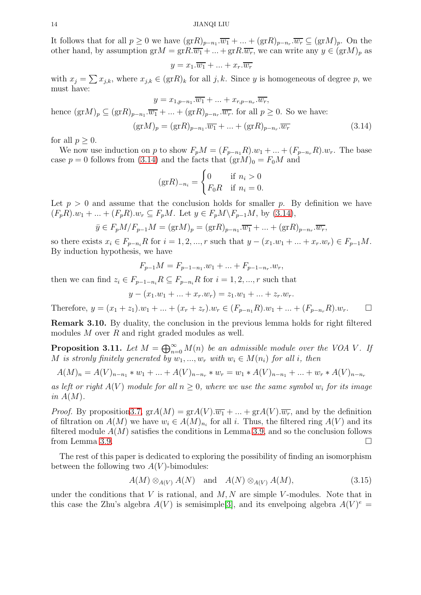It follows that for all  $p \geq 0$  we have  $(\text{gr} R)_{p-n_1} \cdot \overline{w_1} + \ldots + (\text{gr} R)_{p-n_r} \cdot \overline{w_r} \subseteq (\text{gr} M)_p$ . On the other hand, by assumption  $grM = grR.\overline{w_1} + ... + grR.\overline{w_r}$ , we can write any  $y \in (grM)_p$  as

$$
y = x_1.\overline{w_1} + \ldots + x_r.\overline{w_r}
$$

with  $x_j = \sum x_{j,k}$ , where  $x_{j,k} \in (\text{gr}R)_k$  for all  $j,k$ . Since y is homogeneous of degree p, we must have:

$$
y = x_{1,p-n_1}.\overline{w_1} + \dots + x_{r,p-n_r}.\overline{w_r},
$$
  
hence  $(grM)_p \subseteq (grR)_{p-n_1}.\overline{w_1} + \dots + (grR)_{p-n_r}.\overline{w_r}$  for all  $p \ge 0$ . So we have:  

$$
(grM)_p = (grR)_{p-n_1}.\overline{w_1} + \dots + (grR)_{p-n_r}.\overline{w_r}
$$
 (3.14)

for all  $p > 0$ .

We now use induction on p to show  $F_pM = (F_{p-n_1}R)x_1 + ... + (F_{p-n_r}R)x_r$ . The base case  $p = 0$  follows from [\(3.14\)](#page-13-0) and the facts that  $(\text{gr} M)_0 = F_0M$  and

<span id="page-13-0"></span>
$$
(\text{gr}R)_{-n_i} = \begin{cases} 0 & \text{if } n_i > 0 \\ F_0 R & \text{if } n_i = 0. \end{cases}
$$

Let  $p > 0$  and assume that the conclusion holds for smaller p. By definition we have  $(F_pR).w_1 + ... + (F_pR).w_r \subseteq F_pM$ . Let  $y \in F_pM \backslash F_{p-1}M$ , by [\(3.14\)](#page-13-0),

$$
\bar{y} \in F_p M/F_{p-1} M = (\text{gr} M)_p = (\text{gr} R)_{p-n_1} \cdot \overline{w_1} + \dots + (\text{gr} R)_{p-n_r} \cdot \overline{w_r},
$$

so there exists  $x_i \in F_{p-n_i}R$  for  $i = 1, 2, ..., r$  such that  $y - (x_1 \cdot w_1 + ... + x_r \cdot w_r) \in F_{p-1}M$ . By induction hypothesis, we have

$$
F_{p-1}M = F_{p-1-n_1} \cdot w_1 + \dots + F_{p-1-n_r} \cdot w_r,
$$

then we can find  $z_i \in F_{p-1-n_i} R \subseteq F_{p-n_i} R$  for  $i = 1, 2, ..., r$  such that

$$
y - (x_1 \cdot w_1 + \dots + x_r \cdot w_r) = z_1 \cdot w_1 + \dots + z_r \cdot w_r.
$$

Therefore,  $y = (x_1 + z_1) \cdot w_1 + \ldots + (x_r + z_r) \cdot w_r \in (F_{n-r}, R) \cdot w_1 + \ldots + (F_{n-r}, R) \cdot w_r$ .

Remark 3.10. By duality, the conclusion in the previous lemma holds for right filtered modules M over R and right graded modules as well.

<span id="page-13-1"></span>**Proposition 3.11.** Let  $M = \bigoplus_{n=0}^{\infty} M(n)$  be an admissible module over the VOA V. If M is stronly finitely generated by  $w_1, ..., w_r$  with  $w_i \in M(n_i)$  for all i, then

$$
A(M)_n = A(V)_{n-n_1} * w_1 + \ldots + A(V)_{n-n_r} * w_r = w_1 * A(V)_{n-n_1} + \ldots + w_r * A(V)_{n-n_r}
$$

as left or right  $A(V)$  module for all  $n \geq 0$ , where we use the same symbol  $w_i$  for its image *in* A(M)*.*

*Proof.* By proposition 3.7,  $\text{gr}(M) = \text{gr}(N) \cdot \overline{w_1} + \dots + \text{gr}(N) \cdot \overline{w_r}$ , and by the definition of filtration on  $A(M)$  we have  $w_i \in A(M)_{n_i}$  for all i. Thus, the filtered ring  $A(V)$  and its filtered module  $A(M)$  satisfies the conditions in Lemma [3.9,](#page-12-2) and so the conclusion follows from Lemma [3.9.](#page-12-2)

The rest of this paper is dedicated to exploring the possibility of finding an isomorphism between the following two  $A(V)$ -bimodules:

$$
A(M) \otimes_{A(V)} A(N) \quad \text{and} \quad A(N) \otimes_{A(V)} A(M), \tag{3.15}
$$

under the conditions that  $V$  is rational, and  $M, N$  are simple V-modules. Note that in this case the Zhu's algebra  $A(V)$  is semisimple[\[3\]](#page-18-0), and its envelpoing algebra  $A(V)^e$  =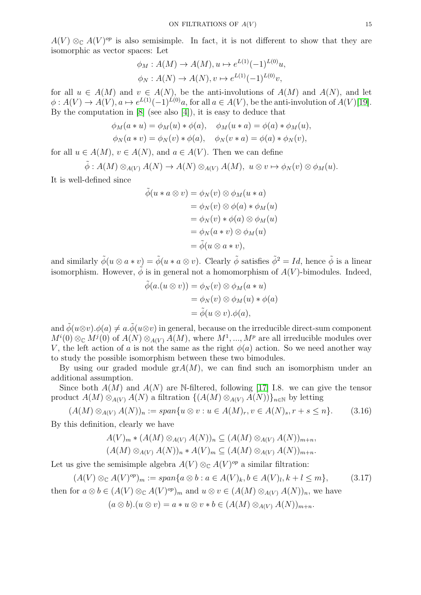$A(V) \otimes_{\mathbb{C}} A(V)^{op}$  is also semisimple. In fact, it is not different to show that they are isomorphic as vector spaces: Let

$$
\phi_M : A(M) \to A(M), u \mapsto e^{L(1)} (-1)^{L(0)} u,
$$
  

$$
\phi_N : A(N) \to A(N), v \mapsto e^{L(1)} (-1)^{L(0)} v,
$$

for all  $u \in A(M)$  and  $v \in A(N)$ , be the anti-involutions of  $A(M)$  and  $A(N)$ , and let  $\phi: A(V) \to A(V), a \mapsto e^{L(1)}(-1)^{L(0)}a$ , for all  $a \in A(V)$ , be the anti-involution of  $A(V)[19]$  $A(V)[19]$ . By the computation in [\[8\]](#page-18-8) (see also [\[4\]](#page-18-15)), it is easy to deduce that

$$
\phi_M(a*u) = \phi_M(u) * \phi(a), \quad \phi_M(u*a) = \phi(a) * \phi_M(u),
$$
  

$$
\phi_N(a*v) = \phi_N(v) * \phi(a), \quad \phi_N(v*a) = \phi(a) * \phi_N(v),
$$

for all  $u \in A(M)$ ,  $v \in A(N)$ , and  $a \in A(V)$ . Then we can define

$$
\tilde{\phi}: A(M) \otimes_{A(V)} A(N) \to A(N) \otimes_{A(V)} A(M), \ u \otimes v \mapsto \phi_N(v) \otimes \phi_M(u).
$$

It is well-defined since

$$
\tilde{\phi}(u * a \otimes v) = \phi_N(v) \otimes \phi_M(u * a)
$$
  
=  $\phi_N(v) \otimes \phi(a) * \phi_M(u)$   
=  $\phi_N(v) * \phi(a) \otimes \phi_M(u)$   
=  $\phi_N(a * v) \otimes \phi_M(u)$   
=  $\tilde{\phi}(u \otimes a * v),$ 

and similarly  $\tilde{\phi}(u \otimes a * v) = \tilde{\phi}(u * a \otimes v)$ . Clearly  $\tilde{\phi}$  satisfies  $\tilde{\phi}^2 = Id$ , hence  $\tilde{\phi}$  is a linear isomorphism. However,  $\tilde{\phi}$  is in general not a homomorphism of  $A(V)$ -bimodules. Indeed,

$$
\tilde{\phi}(a.(u \otimes v)) = \phi_N(v) \otimes \phi_M(a*u)
$$
  
=  $\phi_N(v) \otimes \phi_M(u) * \phi(a)$   
=  $\tilde{\phi}(u \otimes v). \phi(a),$ 

and  $\tilde{\phi}(u\otimes v).\phi(a) \neq a.\tilde{\phi}(u\otimes v)$  in general, because on the irreducible direct-sum component  $M^{i}(0) \otimes_{\mathbb{C}} M^{j}(0)$  of  $A(N) \otimes_{A(V)} A(M)$ , where  $M^{1},...,M^{p}$  are all irreducible modules over V, the left action of a is not the same as the right  $\phi(a)$  action. So we need another way to study the possible isomorphism between these two bimodules.

By using our graded module  $\operatorname{gr}A(M)$ , we can find such an isomorphism under an additional assumption.

Since both  $A(M)$  and  $A(N)$  are N-filtered, following [\[17\]](#page-18-13) I.8. we can give the tensor product  $A(M) \otimes_{A(V)} A(N)$  a filtration  $\{(A(M) \otimes_{A(V)} A(N))\}_{n \in \mathbb{N}}$  by letting

<span id="page-14-0"></span>
$$
(A(M) \otimes_{A(V)} A(N))_n := span\{u \otimes v : u \in A(M)_r, v \in A(N)_s, r+s \le n\}.
$$
 (3.16)

By this definition, clearly we have

$$
A(V)_m * (A(M) \otimes_{A(V)} A(N))_n \subseteq (A(M) \otimes_{A(V)} A(N))_{m+n},
$$
  

$$
(A(M) \otimes_{A(V)} A(N))_n * A(V)_m \subseteq (A(M) \otimes_{A(V)} A(N))_{m+n}.
$$

Let us give the semisimple algebra  $A(V) \otimes_{\mathbb{C}} A(V)^{op}$  a similar filtration:

<span id="page-14-1"></span>
$$
(A(V) \otimes_{\mathbb{C}} A(V)^{op})_m := \operatorname{span}\{a \otimes b : a \in A(V)_k, b \in A(V)_l, k+l \le m\},\tag{3.17}
$$
  
then for  $a \otimes b \in (A(V) \otimes_{\mathbb{C}} A(V)^{op})_m$  and  $u \otimes v \in (A(M) \otimes_{A(V)} A(N))_n$ , we have

 $(a \otimes b).(u \otimes v) = a * u \otimes v * b \in (A(M) \otimes_{A(V)} A(N))_{m+n}.$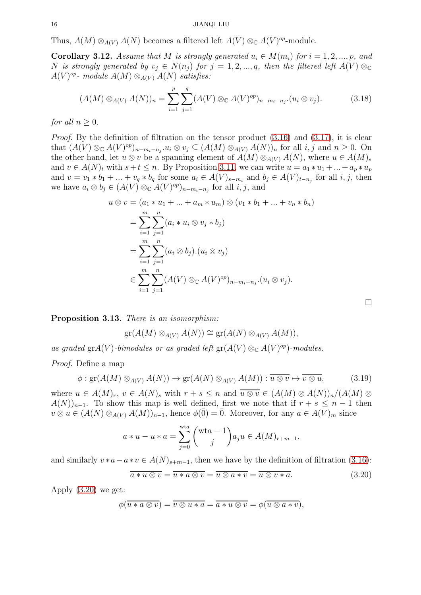Thus,  $A(M) \otimes_{A(V)} A(N)$  becomes a filtered left  $A(V) \otimes_{\mathbb{C}} A(V)^{op}$ -module.

<span id="page-15-1"></span>**Corollary 3.12.** Assume that M is strongly generated  $u_i \in M(m_i)$  for  $i = 1, 2, ..., p$ , and N *is strongly generated by*  $v_j \in N(n_j)$  *for*  $j = 1, 2, ..., q$ *, then the filtered left*  $A(V) \otimes_{\mathbb{C}} C$  $A(V)^{op}$ - module  $A(M) \otimes_{A(V)} A(N)$  satisfies:

$$
(A(M) \otimes_{A(V)} A(N))_n = \sum_{i=1}^p \sum_{j=1}^q (A(V) \otimes_{\mathbb{C}} A(V)^{op})_{n-m_i-n_j} \cdot (u_i \otimes v_j).
$$
 (3.18)

*for all*  $n > 0$ *.* 

*Proof.* By the definition of filtration on the tensor product  $(3.16)$  and  $(3.17)$ , it is clear that  $(A(V) \otimes_{\mathbb{C}} A(V)^{op})_{n-m_i-n_j}$ .  $u_i \otimes v_j \subseteq (A(M) \otimes_{A(V)} A(N))_n$  for all  $i, j$  and  $n \geq 0$ . On the other hand, let  $u \otimes v$  be a spanning element of  $A(M) \otimes_{A(V)} A(N)$ , where  $u \in A(M)_s$ and  $v \in A(N)_t$  with  $s+t \leq n$ . By Proposition [3.11,](#page-13-1) we can write  $u = a_1 * u_1 + ... + a_p * u_p$ and  $v = v_1 * b_1 + ... + v_q * b_q$  for some  $a_i \in A(V)_{s-m_i}$  and  $b_j \in A(V)_{t-n_j}$  for all  $i, j$ , then we have  $a_i \otimes b_j \in (A(V) \otimes_{\mathbb{C}} A(V)^{op})_{n-m_i-n_j}$  for all  $i, j$ , and

$$
u \otimes v = (a_1 * u_1 + ... + a_m * u_m) \otimes (v_1 * b_1 + ... + v_n * b_n)
$$
  
= 
$$
\sum_{i=1}^{m} \sum_{j=1}^{n} (a_i * u_i \otimes v_j * b_j)
$$
  
= 
$$
\sum_{i=1}^{m} \sum_{j=1}^{n} (a_i \otimes b_j) . (u_i \otimes v_j)
$$
  

$$
\in \sum_{i=1}^{m} \sum_{j=1}^{n} (A(V) \otimes_{\mathbb{C}} A(V)^{op})_{n-m_i-n_j} . (u_i \otimes v_j).
$$

<span id="page-15-2"></span>Proposition 3.13. *There is an isomorphism:*

 $gr(A(M) \otimes_{A(V)} A(N)) \cong gr(A(N) \otimes_{A(V)} A(M)),$ 

as graded  $\operatorname{gr} A(V)$ *-bimodules or as graded left*  $\operatorname{gr}(A(V) \otimes_{\mathbb{C}} A(V)^{op})$ *-modules.* 

*Proof.* Define a map

<span id="page-15-3"></span>
$$
\phi: \operatorname{gr}(A(M)\otimes_{A(V)} A(N)) \to \operatorname{gr}(A(N)\otimes_{A(V)} A(M)): \overline{u \otimes v} \mapsto \overline{v \otimes u},\tag{3.19}
$$

where  $u \in A(M)_r$ ,  $v \in A(N)_s$  with  $r + s \leq n$  and  $\overline{u \otimes v} \in (A(M) \otimes A(N))_n/(A(M) \otimes$  $A(N)_{n-1}$ . To show this map is well defined, first we note that if  $r + s \leq n - 1$  then  $v \otimes u \in (A(N) \otimes_{A(V)} A(M))_{n-1}$ , hence  $\phi(\overline{0}) = \overline{0}$ . Moreover, for any  $a \in A(V)_m$  since

$$
a * u - u * a = \sum_{j=0}^{\text{wt}a} \binom{\text{wt}a - 1}{j} a_j u \in A(M)_{r+m-1},
$$

and similarly  $v * a - a * v \in A(N)_{s+m-1}$ , then we have by the definition of filtration [\(3.16\)](#page-14-0):

<span id="page-15-0"></span>
$$
\overline{a \ast u \otimes v} = \overline{u \ast a \otimes v} = \overline{u \otimes a \ast v} = \overline{u \otimes v \ast a}.
$$
 (3.20)

Apply [\(3.20\)](#page-15-0) we get:

$$
\phi(\overline{u*a\otimes v})=\overline{v\otimes u*a}=\overline{a*u\otimes v}=\phi(\overline{u\otimes a*v}),
$$

 $\Box$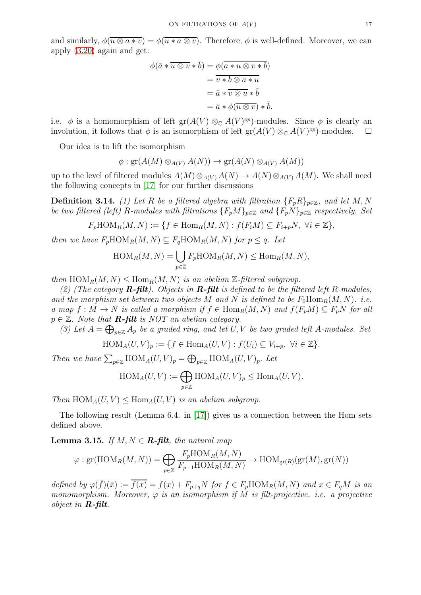and similarly,  $\phi(u \otimes a * v) = \phi(u * a \otimes v)$ . Therefore,  $\phi$  is well-defined. Moreover, we can apply [\(3.20\)](#page-15-0) again and get:

$$
\begin{aligned}\n\phi(\bar{a} * \overline{u \otimes v} * \bar{b}) &= \phi(\overline{a * u \otimes v * b}) \\
&= \overline{v * b \otimes a * u} \\
&= \bar{a} * \overline{v \otimes u} * \bar{b} \\
&= \bar{a} * \phi(\overline{u \otimes v}) * \bar{b}.\n\end{aligned}
$$

i.e.  $\phi$  is a homomorphism of left gr $(A(V) \otimes_{\mathbb{C}} A(V)^{op})$ -modules. Since  $\phi$  is clearly an involution, it follows that  $\phi$  is an isomorphism of left  $\text{gr}(A(V) \otimes_{\mathbb{C}} A(V)^{op})$ -modules.  $\square$ 

Our idea is to lift the isomorphism

$$
\phi: \text{gr}(A(M) \otimes_{A(V)} A(N)) \to \text{gr}(A(N) \otimes_{A(V)} A(M))
$$

up to the level of filtered modules  $A(M) \otimes_{A(V)} A(N) \to A(N) \otimes_{A(V)} A(M)$ . We shall need the following concepts in [\[17\]](#page-18-13) for our further discussions

**Definition 3.14.** *(1) Let* R *be a filtered algebra with filtration*  $\{F_p R\}_{p \in \mathbb{Z}}$ *, and let* M, N *be two filtered (left)* R-modules with filtrations  $\{F_pM\}_{p\in\mathbb{Z}}$  and  $\{F_pN\}_{p\in\mathbb{Z}}$  respectively. Set

$$
F_p \text{HOM}_R(M, N) := \{ f \in \text{Hom}_R(M, N) : f(F_i M) \subseteq F_{i+p} N, \ \forall i \in \mathbb{Z} \},
$$

*then we have*  $F_p \text{HOM}_R(M, N) \subseteq F_q \text{HOM}_R(M, N)$  *for*  $p \leq q$ *. Let* 

$$
\operatorname{HOM}_R(M, N) = \bigcup_{p \in \mathbb{Z}} F_p \operatorname{HOM}_R(M, N) \le \operatorname{Hom}_R(M, N),
$$

*then*  $\text{HOM}_R(M, N) \leq \text{Hom}_R(M, N)$  *is an abelian*  $\mathbb{Z}\text{-filtered subgroup.}$ 

*(2) (The category* R-filt*). Objects in* R-filt *is defined to be the filtered left* R*-modules,* and the morphism set between two objects M and N is defined to be  $F_0 \text{Hom}_R(M, N)$ *.* i.e. *a* map  $f : M \to N$  *is called a morphism if*  $f \in Hom_R(M, N)$  *and*  $f(F_pM) \subseteq F_pN$  *for all*  $p \in \mathbb{Z}$ . Note that **R-filt** is NOT an abelian category.

(3) Let  $A = \bigoplus_{p \in \mathbb{Z}} A_p$  *be a graded ring, and let*  $U, V$  *be two graded left* A-modules. Set

$$
\text{HOM}_A(U, V)_p := \{ f \in \text{Hom}_A(U, V) : f(U_i) \subseteq V_{i+p}, \ \forall i \in \mathbb{Z} \}.
$$

*Then we have*  $\sum_{p \in \mathbb{Z}} \text{HOM}_A(U, V)_p = \bigoplus_{p \in \mathbb{Z}} \text{HOM}_A(U, V)_p$ . Let

$$
\operatorname{HOM}_A(U, V) := \bigoplus_{p \in \mathbb{Z}} \operatorname{HOM}_A(U, V)_p \le \operatorname{Hom}_A(U, V).
$$

*Then*  $\text{HOM}_A(U, V) \leq \text{Hom}_A(U, V)$  *is an abelian subgroup.* 

The following result (Lemma 6.4. in [\[17\]](#page-18-13)) gives us a connection between the Hom sets defined above.

<span id="page-16-0"></span>**Lemma 3.15.** *If*  $M, N \in \mathbb{R}$ -filt, the natural map

$$
\varphi : \text{gr}(\text{HOM}_R(M, N)) = \bigoplus_{p \in \mathbb{Z}} \frac{F_p \text{HOM}_R(M, N)}{F_{p-1} \text{HOM}_R(M, N)} \to \text{HOM}_{\text{gr}(R)}(\text{gr}(M), \text{gr}(N))
$$

*defined by*  $\varphi(\bar{f})(\bar{x}) := \overline{f(x)} = f(x) + F_{p+q}N$  *for*  $f \in F_p \text{HOM}_R(M, N)$  *and*  $x \in F_qM$  *is an monomorphism. Moreover,*  $\varphi$  *is an isomorphism if* M *is filt-projective. i.e. a projective object in* R-filt*.*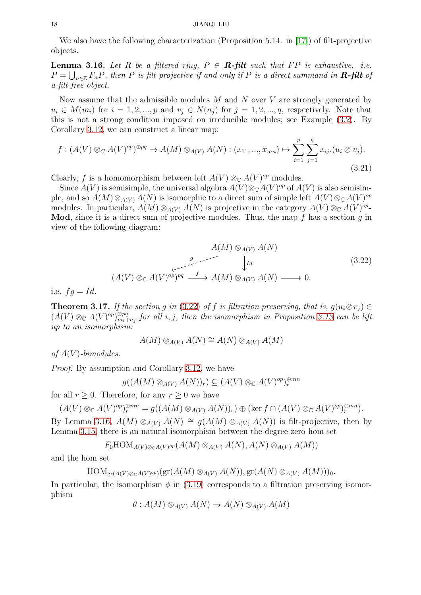We also have the following characterization (Proposition 5.14. in [\[17\]](#page-18-13)) of filt-projective objects.

<span id="page-17-1"></span>**Lemma 3.16.** Let R be a filtered ring,  $P \in \mathbb{R}$ -filt such that FP is exhaustive. i.e.  $P = \bigcup_{n \in \mathbb{Z}} F_n P$ , then P is filt-projective if and only if P is a direct summand in **R-filt** of *a filt-free object.*

Now assume that the admissible modules  $M$  and  $N$  over  $V$  are strongly generated by  $u_i \in M(m_i)$  for  $i = 1, 2, ..., p$  and  $v_j \in N(n_i)$  for  $j = 1, 2, ..., q$ , respectively. Note that this is not a strong condition imposed on irreducible modules; see Example [\(3.2\)](#page-9-2). By Corollary [3.12,](#page-15-1) we can construct a linear map:

$$
f: (A(V) \otimes_C A(V)^{op})^{\oplus pq} \to A(M) \otimes_{A(V)} A(N): (x_{11}, ..., x_{mn}) \mapsto \sum_{i=1}^p \sum_{j=1}^q x_{ij}.(u_i \otimes v_j).
$$
\n(3.21)

Clearly, f is a homomorphism between left  $A(V) \otimes_{\mathbb{C}} A(V)^{op}$  modules.

Since  $A(V)$  is semisimple, the universal algebra  $A(V) \otimes_{\mathbb{C}} A(V)^{op}$  of  $A(V)$  is also semisimple, and so  $A(M) \otimes_{A(V)} A(N)$  is isomorphic to a direct sum of simple left  $A(V) \otimes_{\mathbb{C}} A(V)^{op}$ modules. In particular,  $A(M) \otimes_{A(V)} A(N)$  is projective in the category  $A(V) \otimes_{\mathbb{C}} A(V)^{op}$ . **Mod**, since it is a direct sum of projective modules. Thus, the map f has a section q in view of the following diagram:

<span id="page-17-0"></span>
$$
A(M) \otimes_{A(V)} A(N)
$$
  
\n
$$
\downarrow_{Id}
$$
  
\n
$$
(A(V) \otimes_{\mathbb{C}} A(V)^{op})^{pq} \xrightarrow{f} A(M) \otimes_{A(V)} A(N) \longrightarrow 0.
$$
  
\n
$$
(3.22)
$$

i.e.  $fq = Id$ .

**Theorem 3.17.** *If the section* g *in* [\(3.22\)](#page-17-0) *of* f *is filtration preserving, that is,*  $g(u_i \otimes v_j) \in$  $(A(V) \otimes_{\mathbb{C}} A(V)^{op})_{m_i+}^{\oplus pq}$  $\sum_{m_i+n_j}^{\oplus pq}$  for all  $i, j$ , then the isomorphism in Proposition [3.13](#page-15-2) can be lift *up to an isomorphism:*

$$
A(M) \otimes_{A(V)} A(N) \cong A(N) \otimes_{A(V)} A(M)
$$

*of* A(V )*-bimodules.*

*Proof.* By assumption and Corollary [3.12,](#page-15-1) we have

$$
g((A(M)\otimes_{A(V)} A(N))_r) \subseteq (A(V)\otimes_{\mathbb{C}} A(V)^{op})_r^{\oplus mn}
$$

for all  $r \geq 0$ . Therefore, for any  $r \geq 0$  we have

$$
(A(V) \otimes_{\mathbb{C}} A(V)^{op})_r^{\oplus mn} = g((A(M) \otimes_{A(V)} A(N))_r) \oplus (\ker f \cap (A(V) \otimes_{\mathbb{C}} A(V)^{op})_r^{\oplus mn}).
$$

By Lemma [3.16,](#page-17-1)  $A(M) \otimes_{A(V)} A(N) \cong q(A(M) \otimes_{A(V)} A(N))$  is filt-projective, then by Lemma [3.15,](#page-16-0) there is an natural isomorphism between the degree zero hom set

$$
F_0 \text{HOM}_{A(V)\otimes_{\mathbb{C}} A(V)^{op}}(A(M)\otimes_{A(V)} A(N), A(N)\otimes_{A(V)} A(M))
$$

and the hom set

$$
\operatorname{HOM}_{\operatorname{gr}(A(V)\otimes_{\mathbb{C}} A(V)^{op})}(\operatorname{gr}(A(M)\otimes_{A(V)} A(N)), \operatorname{gr}(A(N)\otimes_{A(V)} A(M)))_0.
$$

In particular, the isomorphism  $\phi$  in [\(3.19\)](#page-15-3) corresponds to a filtration preserving isomorphism

$$
\theta: A(M) \otimes_{A(V)} A(N) \to A(N) \otimes_{A(V)} A(M)
$$